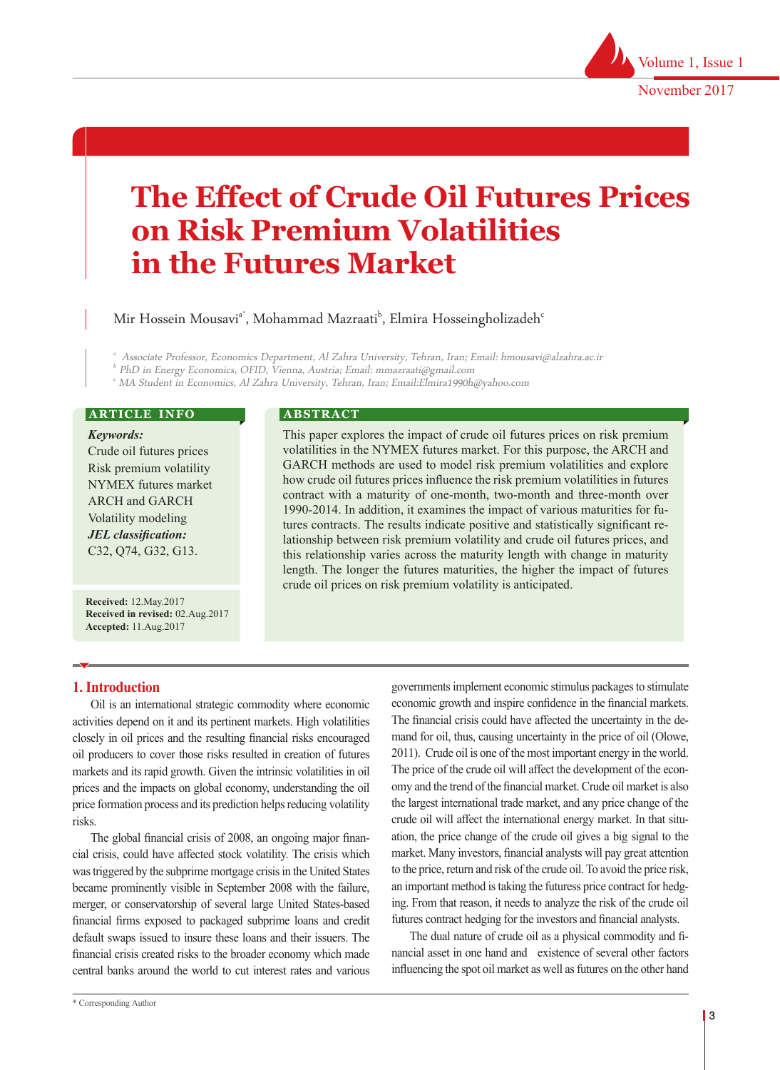# **The Effect of Crude Oil Futures Prices on Risk Premium Volatilities in the Futures Market**

Mir Hossein Mousavi<sup>a\*</sup>, Mohammad Mazraati<sup>b</sup>, Elmira Hosseingholizadeh<sup>c</sup>

a Associate Professor, Economics Department, Al Zahra University, Tehran, Iran; Email: hmousavi@alzahra.ac.ir

b PhD in Energy Economics, OFID, Vienna, Austria; Email: mmazraati@gmail.com

c MA Student in Economics, Al Zahra University, Tehran, Iran; Email:Elmira1990h@yahoo.com

#### **ARTICLE INFO**

*Keywords:*

Crude oil futures prices Risk premium volatility NYMEX futures market ARCH and GARCH Volatility modeling *JEL classification:* C32, Q74, G32, G13.

**Received:** 12.May.2017 **Received in revised:** 02.Aug.2017 **Accepted:** 11.Aug.2017

#### **ABSTRACT**

This paper explores the impact of crude oil futures prices on risk premium volatilities in the NYMEX futures market. For this purpose, the ARCH and GARCH methods are used to model risk premium volatilities and explore how crude oil futures prices influence the risk premium volatilities in futures contract with a maturity of one-month, two-month and three-month over 1990-2014. In addition, it examines the impact of various maturities for futures contracts. The results indicate positive and statistically significant relationship between risk premium volatility and crude oil futures prices, and this relationship varies across the maturity length with change in maturity length. The longer the futures maturities, the higher the impact of futures crude oil prices on risk premium volatility is anticipated.

## **1. Introduction**

Oil is an international strategic commodity where economic activities depend on it and its pertinent markets. High volatilities closely in oil prices and the resulting financial risks encouraged oil producers to cover those risks resulted in creation of futures markets and its rapid growth. Given the intrinsic volatilities in oil prices and the impacts on global economy, understanding the oil price formation process and its prediction helps reducing volatility risks.

The global financial crisis of 2008, an ongoing major financial crisis, could have affected stock volatility. The crisis which was triggered by the subprime mortgage crisis in the United States became prominently visible in September 2008 with the failure, merger, or conservatorship of several large United States-based financial firms exposed to packaged subprime loans and credit default swaps issued to insure these loans and their issuers. The financial crisis created risks to the broader economy which made central banks around the world to cut interest rates and various

governments implement economic stimulus packages to stimulate economic growth and inspire confidence in the financial markets. The financial crisis could have affected the uncertainty in the demand for oil, thus, causing uncertainty in the price of oil (Olowe, 2011). Crude oil is one of the most important energy in the world. The price of the crude oil will affect the development of the economy and the trend of the financial market. Crude oil market is also the largest international trade market, and any price change of the crude oil will affect the international energy market. In that situation, the price change of the crude oil gives a big signal to the market. Many investors, financial analysts will pay great attention to the price, return and risk of the crude oil. To avoid the price risk, an important method is taking the futuress price contract for hedging. From that reason, it needs to analyze the risk of the crude oil futures contract hedging for the investors and financial analysts.

The dual nature of crude oil as a physical commodity and financial asset in one hand and existence of several other factors influencing the spot oil market as well as futures on the other hand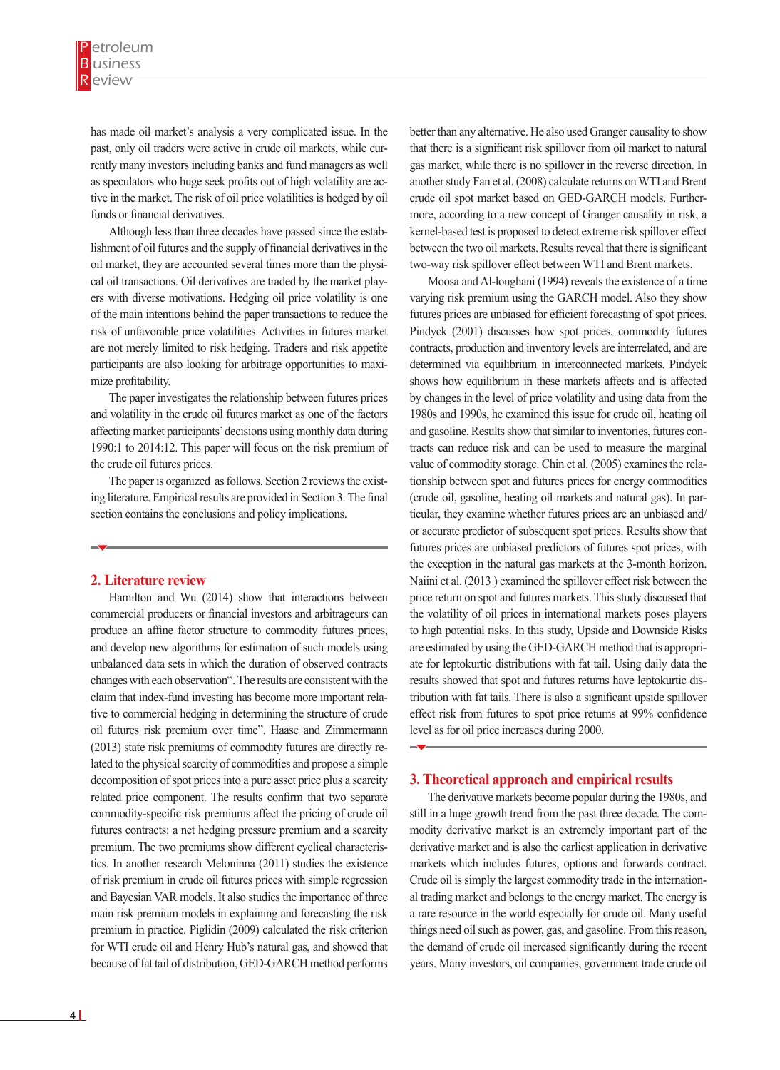has made oil market's analysis a very complicated issue. In the past, only oil traders were active in crude oil markets, while currently many investors including banks and fund managers as well as speculators who huge seek profits out of high volatility are active in the market. The risk of oil price volatilities is hedged by oil funds or financial derivatives.

Although less than three decades have passed since the establishment of oil futures and the supply of financial derivatives in the oil market, they are accounted several times more than the physical oil transactions. Oil derivatives are traded by the market players with diverse motivations. Hedging oil price volatility is one of the main intentions behind the paper transactions to reduce the risk of unfavorable price volatilities. Activities in futures market are not merely limited to risk hedging. Traders and risk appetite participants are also looking for arbitrage opportunities to maximize profitability.

The paper investigates the relationship between futures prices and volatility in the crude oil futures market as one of the factors affecting market participants' decisions using monthly data during 1990:1 to 2014:12. This paper will focus on the risk premium of the crude oil futures prices.

The paper is organized as follows. Section 2 reviews the existing literature. Empirical results are provided in Section 3. The final section contains the conclusions and policy implications.

#### **2. Literature review**

Hamilton and Wu (2014) show that interactions between commercial producers or financial investors and arbitrageurs can produce an affine factor structure to commodity futures prices, and develop new algorithms for estimation of such models using unbalanced data sets in which the duration of observed contracts changes with each observation". The results are consistent with the claim that index-fund investing has become more important relative to commercial hedging in determining the structure of crude oil futures risk premium over time". Haase and Zimmermann (2013) state risk premiums of commodity futures are directly related to the physical scarcity of commodities and propose a simple decomposition of spot prices into a pure asset price plus a scarcity related price component. The results confirm that two separate commodity-specific risk premiums affect the pricing of crude oil futures contracts: a net hedging pressure premium and a scarcity premium. The two premiums show different cyclical characteristics. In another research Meloninna (2011) studies the existence of risk premium in crude oil futures prices with simple regression and Bayesian VAR models. It also studies the importance of three main risk premium models in explaining and forecasting the risk premium in practice. Piglidin (2009) calculated the risk criterion for WTI crude oil and Henry Hub's natural gas, and showed that because of fat tail of distribution, GED-GARCH method performs

better than any alternative. He also used Granger causality to show that there is a significant risk spillover from oil market to natural gas market, while there is no spillover in the reverse direction. In another study Fan et al. (2008) calculate returns on WTI and Brent crude oil spot market based on GED-GARCH models. Furthermore, according to a new concept of Granger causality in risk, a kernel-based test is proposed to detect extreme risk spillover effect between the two oil markets. Results reveal that there is significant two-way risk spillover effect between WTI and Brent markets.

Moosa and Al-loughani (1994) reveals the existence of a time varying risk premium using the GARCH model. Also they show futures prices are unbiased for efficient forecasting of spot prices. Pindyck (2001) discusses how spot prices, commodity futures contracts, production and inventory levels are interrelated, and are determined via equilibrium in interconnected markets. Pindyck shows how equilibrium in these markets affects and is affected by changes in the level of price volatility and using data from the 1980s and 1990s, he examined this issue for crude oil, heating oil and gasoline. Results show that similar to inventories, futures contracts can reduce risk and can be used to measure the marginal value of commodity storage. Chin et al. (2005) examines the relationship between spot and futures prices for energy commodities (crude oil, gasoline, heating oil markets and natural gas). In particular, they examine whether futures prices are an unbiased and/ or accurate predictor of subsequent spot prices. Results show that futures prices are unbiased predictors of futures spot prices, with the exception in the natural gas markets at the 3-month horizon. Naiini et al. (2013 ) examined the spillover effect risk between the price return on spot and futures markets. This study discussed that the volatility of oil prices in international markets poses players to high potential risks. In this study, Upside and Downside Risks are estimated by using the GED-GARCH method that is appropriate for leptokurtic distributions with fat tail. Using daily data the results showed that spot and futures returns have leptokurtic distribution with fat tails. There is also a significant upside spillover effect risk from futures to spot price returns at 99% confidence level as for oil price increases during 2000.

## **3. Theoretical approach and empirical results**

The derivative markets become popular during the 1980s, and still in a huge growth trend from the past three decade. The commodity derivative market is an extremely important part of the derivative market and is also the earliest application in derivative markets which includes futures, options and forwards contract. Crude oil is simply the largest commodity trade in the international trading market and belongs to the energy market. The energy is a rare resource in the world especially for crude oil. Many useful things need oil such as power, gas, and gasoline. From this reason, the demand of crude oil increased significantly during the recent years. Many investors, oil companies, government trade crude oil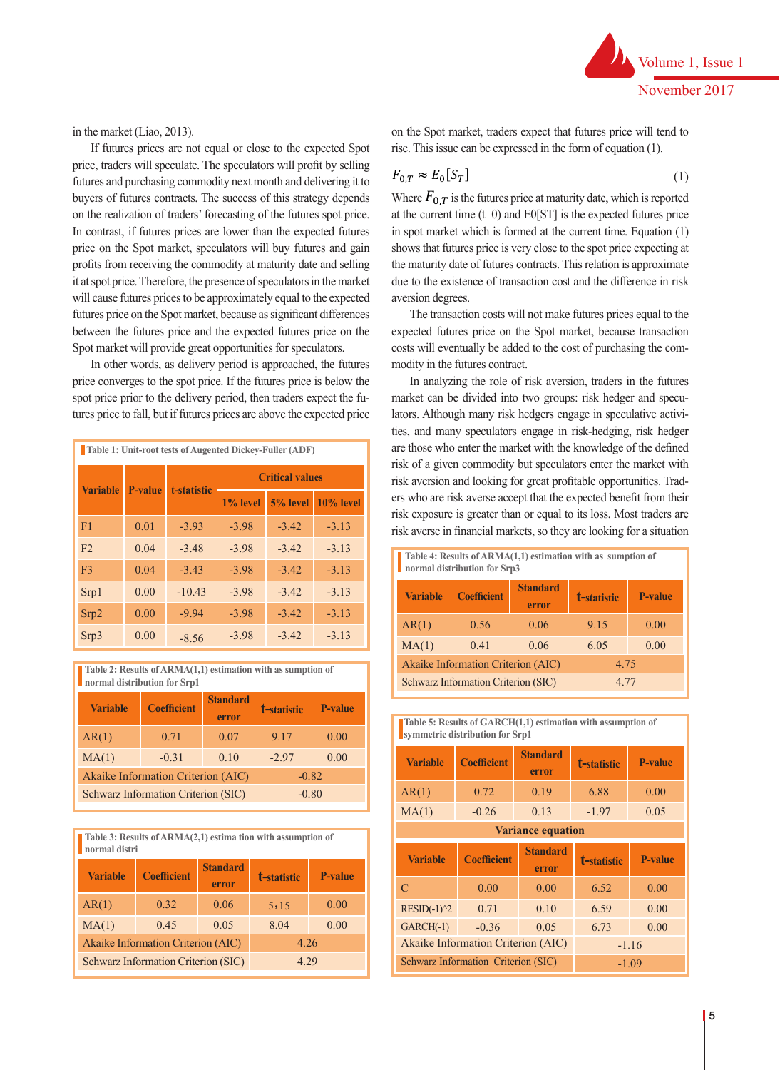in the market (Liao, 2013).

If futures prices are not equal or close to the expected Spot price, traders will speculate. The speculators will profit by selling  $F_{\text{max}} \approx F_{\text{max}}[S_{\text{max}}]$ futures and purchasing commodity next month and delivering it to buyers of futures contracts. The success of this strategy depends on the realization of traders' forecasting of the futures spot price. In contrast, if futures prices are lower than the expected futures price on the Spot market, speculators will buy futures and gain profits from receiving the commodity at maturity date and selling it at spot price. Therefore, the presence of speculators in the market will cause futures prices to be approximately equal to the expected futures price on the Spot market, because as significant differences between the futures price and the expected futures price on the Spot market will provide great opportunities for speculators.

In other words, as delivery period is approached, the futures price converges to the spot price. If the futures price is below the spot price prior to the delivery period, then traders expect the futures price to fall, but if futures prices are above the expected price

| <b>Table 1: Unit-root tests of Augented Dickey-Fuller (ADF)</b> |                |             |                        |          |              |  |  |
|-----------------------------------------------------------------|----------------|-------------|------------------------|----------|--------------|--|--|
| <b>Variable</b>                                                 | <b>P-value</b> | t-statistic | <b>Critical values</b> |          |              |  |  |
|                                                                 |                |             | $1\%$ level            | 5% level | $10\%$ level |  |  |
| F <sub>1</sub>                                                  | 0.01           | $-3.93$     | $-3.98$                | $-3.42$  | $-3.13$      |  |  |
| F <sub>2</sub>                                                  | 0.04           | $-3.48$     | $-3.98$                | $-3.42$  | $-3.13$      |  |  |
| F <sub>3</sub>                                                  | 0.04           | $-3.43$     | $-3.98$                | $-3.42$  | $-3.13$      |  |  |
| Srp1                                                            | 0.00           | $-10.43$    | $-3.98$                | $-3.42$  | $-3.13$      |  |  |
| Srp2                                                            | 0.00           | $-9.94$     | $-3.98$                | $-3.42$  | $-3.13$      |  |  |
| Srp3                                                            | 0.00           | $-8.56$     | $-3.98$                | $-3.42$  | $-3.13$      |  |  |

**Table 2: Results of ARMA(1,1) estimation with as sumption of normal distribution for Srp1**

| <b>Variable</b> | <b>Coefficient</b>                  | <b>Standard</b><br>error | t-statistic | <b>P-value</b> |
|-----------------|-------------------------------------|--------------------------|-------------|----------------|
| AR(1)           | 0.71                                | 0.07                     | 9.17        | 0.00           |
| MA(1)           | $-0.31$                             | 0.10                     | $-2.97$     | 0.00           |
|                 | Akaike Information Criterion (AIC)  |                          | $-0.82$     |                |
|                 | Schwarz Information Criterion (SIC) |                          |             | $-0.80$        |

**Table 3: Results of ARMA(2,1) estima tion with assumption of normal distri**

| <b>Variable</b> | <b>Coefficient</b>                  | <b>Standard</b><br>error | t-statistic | <b>P-value</b> |
|-----------------|-------------------------------------|--------------------------|-------------|----------------|
| AR(1)           | 0.32                                | 0.06                     | 5,15        | 0.00           |
| MA(1)           | 0.45                                | 0.05                     | 8.04        | 0.00           |
|                 | Akaike Information Criterion (AIC)  | 4.26                     |             |                |
|                 | Schwarz Information Criterion (SIC) | 4 2 9                    |             |                |

on the Spot market, traders expect that futures price will tend to ot equal or close to the expected Spot rise. This issue can be expressed in the form of equation (1).

price on the Spot market will provide great opportunities for speculators.

$$
F_{0,T} \approx E_0[S_T] \tag{1}
$$

the maturity date of futures contracts. This relation is approximate Where  $F_{0,T}$  is the futures price at maturity date, which is reported due to the existence of transaction cost and the difference in risk<br>aversion degrees at the current time  $(t=0)$  and E0[ST] is the expected futures price in spot market which is formed at the current time. Equation (1) shows that futures price is very close to the spot price expecting at aversion degrees.

The transaction costs will not make futures prices equal to the expected futures price on the Spot market, because transaction costs will eventually be added to the cost of purchasing the commodity in the futures contract.

In analyzing the role of risk aversion, traders in the futures market can be divided into two groups: risk hedger and speculators. Although many risk hedgers engage in speculative activities, and many speculators engage in risk-hedging, risk hedger are those who enter the market with the knowledge of the defined risk of a given commodity but speculators enter the market with risk aversion and looking for great profitable opportunities. Traders who are risk averse accept that the expected benefit from their risk exposure is greater than or equal to its loss. Most traders are risk averse in financial markets, so they are looking for a situation

| Table 4: Results of ARMA(1,1) estimation with as sumption of<br>normal distribution for Srp3 |                    |                          |             |                |  |  |
|----------------------------------------------------------------------------------------------|--------------------|--------------------------|-------------|----------------|--|--|
| <b>Variable</b>                                                                              | <b>Coefficient</b> | <b>Standard</b><br>error | t-statistic | <b>P-value</b> |  |  |
| AR(1)                                                                                        | 0.56               | 0.06                     | 9 1 5       | 0.00           |  |  |
| MA(1)                                                                                        | 0.41               | 0.06                     | 6.05        | 0.00           |  |  |
| Akaike Information Criterion (AIC)<br>4.75                                                   |                    |                          |             |                |  |  |
| Schwarz Information Criterion (SIC)<br>4.77                                                  |                    |                          |             |                |  |  |

**Table 5: Results of GARCH(1,1) estimation with assumption of** 

| symmetric distribution for Srp1 |                                    |                          |             |                |  |  |
|---------------------------------|------------------------------------|--------------------------|-------------|----------------|--|--|
| <b>Variable</b>                 | <b>Coefficient</b>                 | <b>Standard</b><br>error | t-statistic | <b>P-value</b> |  |  |
| AR(1)                           | 0.72                               | 0.19                     | 6.88        | 0.00           |  |  |
| MA(1)                           | $-0.26$                            | 0.13                     | $-1.97$     | 0.05           |  |  |
|                                 | <b>Variance equation</b>           |                          |             |                |  |  |
| <b>Variable</b>                 | <b>Coefficient</b>                 | <b>Standard</b><br>error | t-statistic | <b>P-value</b> |  |  |
|                                 |                                    |                          |             |                |  |  |
| C                               | 0.00                               | 0.00                     | 6.52        | 0.00           |  |  |
| $RESID(-1)^2$                   | 0.71                               | 0.10                     | 6.59        | 0.00           |  |  |
| $GARCH(-1)$                     | $-0.36$                            | 0.05                     | 6.73        | 0.00           |  |  |
|                                 | Akaike Information Criterion (AIC) |                          |             | $-1.16$        |  |  |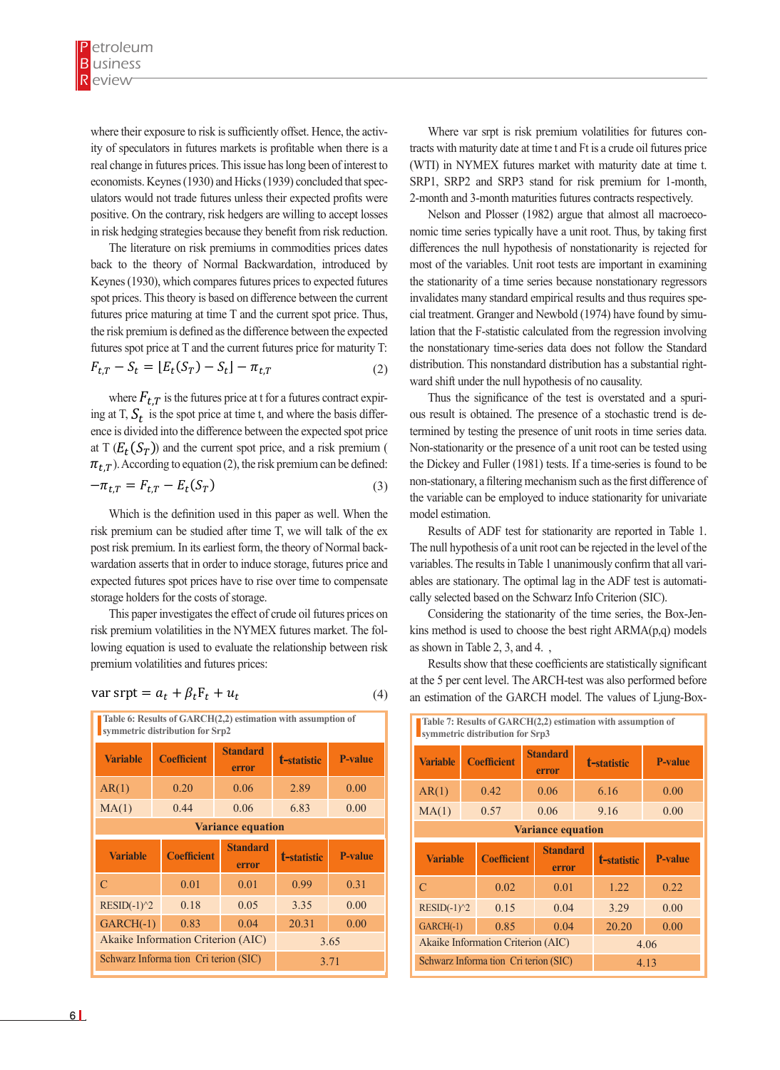where their exposure to risk is sufficiently offset. Hence, the activ-<br>Where var srpt is risk premium vo ity of speculators in futures markets is profitable when there is a tracts with maturity date at time t and Ft real change in futures prices. This issue has long been of interest to (WTI) in NYMEX futures market with economists. Keynes (1930) and Hicks (1939) concluded that spec-<br>BRP1, SRP2 and SRP3 stand for ris ulators would not trade futures unless their expected profits were<br>and 3-month and 3-month maturi mators would not trade futures unless their expected profits were the 2-month and 3-month maturities futures<br>positive. On the contrary, risk hedgers are willing to accept losses Nelson and Plosser (1982) argue t in risk hedging strategies because they benefit from risk reduction. nomic time series typically have a unit Where their exposure to risk is sufficiently offset. Hence, the futures matches in the future of the future into two groups: risk hedger and speculators. Although many risk hedgers engage in speculative activities, and and activities, and and and and activities, and and activities, and activities, and activities, and activities, and activities, knowledge of the defined risk of a given commodity but speculators enter the market with risk where then exposure to risk is sufficiently offset. Trenet, the active which was re-

The literature on risk premiums in commodities prices dates differences the null hypothesis of nons back to the theory of Normal Backwardation, introduced by most of the variables. Unit r Keynes (1930), which compares futures prices to expected futures the stationarity of a spites (1990), which computes intensity to expected ratales the stationary of a time series occurs<br>spot prices. This theory is based on difference between the current invalidates many standard empirical res futures prices. This diverse is eased on directed between the earlier invariances many standard empirical rest<br>futures price maturing at time T and the current spot price. Thus, cial treatment. Granger and Newbold (1) the risk premium is defined as the difference between the expected lation that the F-statistic calculated from futures spot price at T and the current futures price for maturity T:<br>the nonstationary time-series data does (2)  $F_{t,T} - S_t = [E_t(S_T) - S_t] - \pi_{t,T}$  (2) distribution. This nonstandar spot prices. This theory is based on difference between the current invalidates ma because the period risk reduction.

where  $F_{t,T}$  is the futures price at t for a futures contract expir-<br>Thus the signi ing at T,  $S_t$  is the spot price at time t, and where the basis differ-<br>ous result is obtained. ence is divided into the difference between the expected spot price termined by testing the presence of unit premium can be defined:  $\pi_{t,T}$ ). According to equation (2), the risk premium can be defined: the Dickey and Fuller (1981) tests. If a<br>  $\pi = E$   $E$  (S) at T  $(E_t(S_T))$  and the current spot price, and a risk premium (Non-stationarity or the presence of a u expected future spot price at *T* and the current futures price for maturity *T*:  $\mathbb{R}^n$  ward shift un where  $F_{t,T}$  is the futures price at t for a futures contract expire Thus the  $-\pi$   $-F$   $F$   $\left(\frac{S}{T}\right)$   $\qquad \qquad$  non-stational (3)  $\ddot{\theta}$  =  $\ddot{\theta}$   $\ddot{\theta}$   $\ddot{\theta}$   $\ddot{\theta}$   $\ddot{\theta}$   $\ddot{\theta}$   $\ddot{\theta}$   $\ddot{\theta}$   $\ddot{\theta}$   $\ddot{\theta}$   $\ddot{\theta}$   $\ddot{\theta}$   $\ddot{\theta}$   $\ddot{\theta}$   $\ddot{\theta}$   $\ddot{\theta}$   $\ddot{\theta}$   $\ddot{\theta}$   $\ddot{\theta}$   $\ddot{\theta}$   $\ddot{\theta}$   $\ddot{\theta}$   $\ddot{\theta}$   $\dd$  $F_{t_1}$  is the futures price at time  $t_1$  and  $t_2$  for a future contract expiring at  $T$ ,  $S_t$  is the spot price at time t, and where the basis difference our result is c and is divided into the difference between the expected spot price  $\frac{1}{2}$  termined by t

$$
-\pi_{t,T} = F_{t,T} - E_t(S_T)
$$
 (3) non-stationary, a th  
the variable can be

Which is the definition used in this paper as well. When the model estimation. risk premium can be studied after time T, we will talk of the ex<br>Results of AD post risk premium. In its earliest form, the theory of Normal back-<br>The null hypothesis of a unit root can be expected futures spot prices have to rise over time to compensate ables are stationary. The optimal lag in storage holders for the costs of storage. Cally selected based on the S wardation asserts that in order to induce storage, futures price and variables. The results in Table 1 unanime

premium volatilities and futures prices:<br>
Results show that these costs of the relation is used to evaluate the relation is used to evaluate the costs of storage. This paper investigates the effect of crude oil future risk premium volatilities in the NYMEX futures market. The fol-<br>risk premium volatilities in the NYMEX futures market. The following equation is used to evaluate the relationship between risk as shown in Table 2, 3, and 4. Example holders for the costs of storage.<br>This paper investigates the effect of crude oil futures prices on Considering premium volatilities and futures prices. premium volatilities and futures prices:

$$
var s r pt = a_t + \beta_t F_t + u_t
$$

4 4 4 premium volatilities and futures prices: NYMEX futures market. The following equation is used to evaluate the relationship between risk Where *var srpt* is risk premium volatilities for future contracts with maturity date at time t and *Ft* is a crude oil futures price (WTI) in NYMEX futures market with maturity date at time t. SRP1, SRP2 and SRP3 stand for risk premium for 1-month, 2-month and 3-month maturities futures The Augmented Dickey-Fuller (ADF) test including intercept and trend shows that all variables used in the model are stationary at the level (Table 1). Table 1: Unit-root tests of Augmented Dickey-Fuller (ADF) Critical values Variable P-value t-statistic 1% level 5% level 10% level F1 ٠٫٠١ - ٣٫٩١ - ٣٫٩٨ - ٣٫٤٢ - ٣٫١٣ F2 ٠٫٠٤ - ٣٫٤٨ - ٣٫٩٨ - ٣٫٤٢ - ٣٫١٣ F3 ٠٫٠٤ - ٣٫٤٣ - ٣٫٩٨ - ٣٫٤٢ - ٣٫١٣ Srp1 ٠٫٠٠ - ١٠٫٤٣ - ٣٫٩٨ - ٣٫٤٢ - ٣٫١٣ Srp2 ٠٫٠٠ - ٩٫٩٤ - ٣٫٩٨ - ٣٫٤٢ - ٣٫١٣ **Table 6: Results of GARCH(2,2) estimation with assumption of symmetric distribution for Srp2 t-statistic P-value Standard error Variable Coefficient** AR(1) 0.20 0.06 2.89 0.00 MA(1) 0.44 0.06 6.83 0.00 **Variance equation t-statistic P-value Standard error Variable Coefficient** C 0.01 0.01 0.99 0.31 RESID(-1)^2 0.18 0.05 3.35 0.00 GARCH(-1) 0.83 0.04 20.31 0.00 Akaike Information Criterion (AIC) 3.65 Schwarz Informa tion Cri terion (SIC) 3.71

Where var srpt is risk premium volatilities for futures contracts with maturity date at time t and Ft is a crude oil futures price (WTI) in NYMEX futures market with maturity date at time t. SRP1, SRP2 and SRP3 stand for risk premium for 1-month, 2-month and 3-month maturities futures contracts respectively.

Nelson and Plosser (1982) argue that almost all macroeconomic time series typically have a unit root. Thus, by taking first differences the null hypothesis of nonstationarity is rejected for most of the variables. Unit root tests are important in examining the stationarity of a time series because nonstationary regressors invalidates many standard empirical results and thus requires special treatment. Granger and Newbold (1974) have found by simulation that the F-statistic calculated from the regression involving the nonstationary time-series data does not follow the Standard distribution. This nonstandard distribution has a substantial rightward shift under the null hypothesis of no causality.

 $-\pi_{t,T} = F_{t,T} - E_t(S_T)$  (3) and the risk price, a filtering mechanism such as the first difference of Thus the significance of the test is overstated and a spurious result is obtained. The presence of a stochastic trend is determined by testing the presence of unit roots in time series data. Non-stationarity or the presence of a unit root can be tested using the Dickey and Fuller (1981) tests. If a time-series is found to be the variable can be employed to induce stationarity for univariate model estimation.

> Results of ADF test for stationarity are reported in Table 1. The null hypothesis of a unit root can be rejected in the level of the variables. The results in Table 1 unanimously confirm that all variables are stationary. The optimal lag in the ADF test is automatically selected based on the Schwarz Info Criterion (SIC).

> Considering the stationarity of the time series, the Box-Jenkins method is used to choose the best right  $ARMA(p,q)$  models as shown in Table 2, 3, and 4. ,

> Results show that these coefficients are statistically significant at the 5 per cent level. The ARCH-test was also performed before an estimation of the GARCH model. The values of Ljung-Box-

| Table 7: Results of GARCH(2,2) estimation with assumption of<br>symmetric distribution for Srp3 |                          |                                    |  |                          |             |                    |         |
|-------------------------------------------------------------------------------------------------|--------------------------|------------------------------------|--|--------------------------|-------------|--------------------|---------|
| <b>Variable</b>                                                                                 |                          | <b>Coefficient</b>                 |  | <b>Standard</b><br>error | t-statistic |                    | P-value |
| AR(1)                                                                                           |                          | 0.42                               |  | 0.06                     | 6.16        |                    | 0.00    |
| MA(1)                                                                                           | 0.57                     |                                    |  | 0.06                     | 9.16        |                    | 0.00    |
|                                                                                                 | <b>Variance equation</b> |                                    |  |                          |             |                    |         |
| <b>Variable</b>                                                                                 |                          | <b>Coefficient</b>                 |  | <b>Standard</b><br>error |             | <b>t-statistic</b> | P-value |
| $\mathcal{C}$                                                                                   | 0.02                     |                                    |  | 0.01                     |             | 1.22               | 0.22    |
|                                                                                                 | $RESID(-1)^2$<br>0.15    |                                    |  |                          |             |                    |         |
|                                                                                                 |                          |                                    |  | 0.04                     |             | 3.29               | 0.00    |
| $GARCH(-1)$                                                                                     |                          | 0.85                               |  | 0.04                     |             | 20.20              | 0.00    |
|                                                                                                 |                          | Akaike Information Criterion (AIC) |  |                          |             |                    | 4.06    |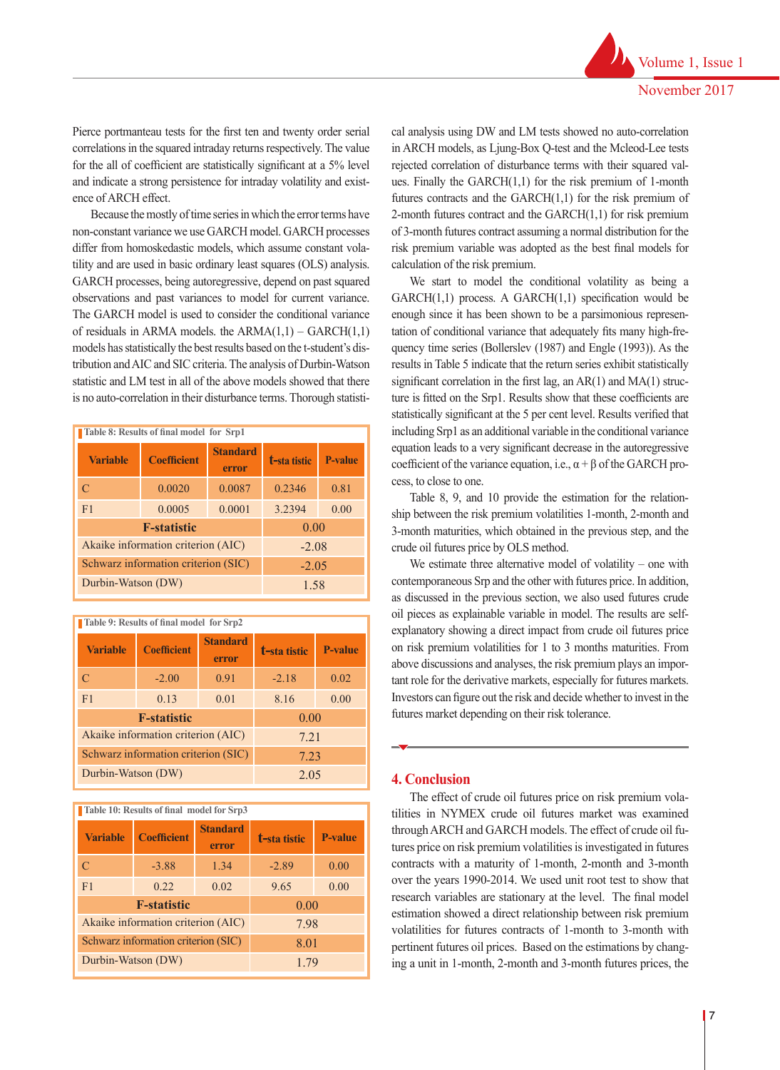Pierce portmanteau tests for the first ten and twenty order serial correlations in the squared intraday returns respectively. The value for the all of coefficient are statistically significant at a 5% level and indicate a strong persistence for intraday volatility and existence of ARCH effect.

Because the mostly of time series in which the error terms have non-constant variance we use GARCH model. GARCH processes differ from homoskedastic models, which assume constant volatility and are used in basic ordinary least squares (OLS) analysis. GARCH processes, being autoregressive, depend on past squared observations and past variances to model for current variance. The GARCH model is used to consider the conditional variance of residuals in ARMA models. the  $ARMA(1,1) - GARCH(1,1)$ models has statistically the best results based on the t-student's distribution and AIC and SIC criteria. The analysis of Durbin-Watson statistic and LM test in all of the above models showed that there is no auto-correlation in their disturbance terms. Thorough statisti-

| Table 8: Results of final model for Srp1 |                                     |                          |              |         |  |  |
|------------------------------------------|-------------------------------------|--------------------------|--------------|---------|--|--|
| <b>Variable</b>                          | <b>Coefficient</b>                  | <b>Standard</b><br>error | t-sta tistic | P-value |  |  |
| $\mathcal{C}$                            | 0.0020                              | 0.0087                   | 0.2346       | 0.81    |  |  |
| F <sub>1</sub>                           | 0.0005                              | 0.0001                   | 3.2394       | 0.00    |  |  |
|                                          | <b>F-statistic</b>                  | 0.00                     |              |         |  |  |
|                                          | Akaike information criterion (AIC)  | $-2.08$                  |              |         |  |  |
|                                          | Schwarz information criterion (SIC) | $-2.05$                  |              |         |  |  |
| Durbin-Watson (DW)                       |                                     |                          | 1.58         |         |  |  |

**t-sta tistic P-value Standard EXECUTER EXECUTE: EXECUTER COEfficient error** C  $-2.00$   $0.91$   $-2.18$   $0.02$ F1 0.13 0.01 8.16 0.00 **F-statistic** 0.00 Akaike information criterion (AIC)  $7.21$ Schwarz information criterion (SIC) 7.23 Durbin-Watson (DW) 2.05

**Table 9: Results of final model for Srp2**

**Table 10: Results of final model for Srp3**

| <b>Variable</b>    | <b>Coefficient</b>                  | <b>Standard</b><br>error | t-sta tistic | <b>P-value</b> |
|--------------------|-------------------------------------|--------------------------|--------------|----------------|
| C                  | $-3.88$                             | 1.34                     | $-2.89$      | 0.00           |
| F <sub>1</sub>     | 0.22                                | 0.02                     | 9.65         | 0.00           |
|                    | <b>F</b> -statistic                 | 0.00                     |              |                |
|                    | Akaike information criterion (AIC)  | 7.98                     |              |                |
|                    | Schwarz information criterion (SIC) | 8.01                     |              |                |
| Durbin-Watson (DW) |                                     | 1.79                     |              |                |

cal analysis using DW and LM tests showed no auto-correlation in ARCH models, as Ljung-Box Q-test and the Mcleod-Lee tests rejected correlation of disturbance terms with their squared values. Finally the  $GARCH(1,1)$  for the risk premium of 1-month futures contracts and the GARCH(1,1) for the risk premium of 2-month futures contract and the  $GARCH(1,1)$  for risk premium of 3-month futures contract assuming a normal distribution for the risk premium variable was adopted as the best final models for calculation of the risk premium.

We start to model the conditional volatility as being a  $GARCH(1,1)$  process. A  $GARCH(1,1)$  specification would be enough since it has been shown to be a parsimonious representation of conditional variance that adequately fits many high-frequency time series (Bollerslev (1987) and Engle (1993)). As the results in Table 5 indicate that the return series exhibit statistically significant correlation in the first lag, an  $AR(1)$  and  $MA(1)$  structure is fitted on the Srp1. Results show that these coefficients are statistically significant at the 5 per cent level. Results verified that including Srp1 as an additional variable in the conditional variance equation leads to a very significant decrease in the autoregressive coefficient of the variance equation, i.e.,  $\alpha + \beta$  of the GARCH process, to close to one.

Table 8, 9, and 10 provide the estimation for the relationship between the risk premium volatilities 1-month, 2-month and 3-month maturities, which obtained in the previous step, and the crude oil futures price by OLS method.

We estimate three alternative model of volatility – one with contemporaneous Srp and the other with futures price. In addition, as discussed in the previous section, we also used futures crude oil pieces as explainable variable in model. The results are selfexplanatory showing a direct impact from crude oil futures price on risk premium volatilities for 1 to 3 months maturities. From above discussions and analyses, the risk premium plays an important role for the derivative markets, especially for futures markets. Investors can figure out the risk and decide whether to invest in the futures market depending on their risk tolerance.

## **4. Conclusion**

The effect of crude oil futures price on risk premium volatilities in NYMEX crude oil futures market was examined through ARCH and GARCH models. The effect of crude oil futures price on risk premium volatilities is investigated in futures contracts with a maturity of 1-month, 2-month and 3-month over the years 1990-2014. We used unit root test to show that research variables are stationary at the level. The final model estimation showed a direct relationship between risk premium volatilities for futures contracts of 1-month to 3-month with pertinent futures oil prices. Based on the estimations by changing a unit in 1-month, 2-month and 3-month futures prices, the